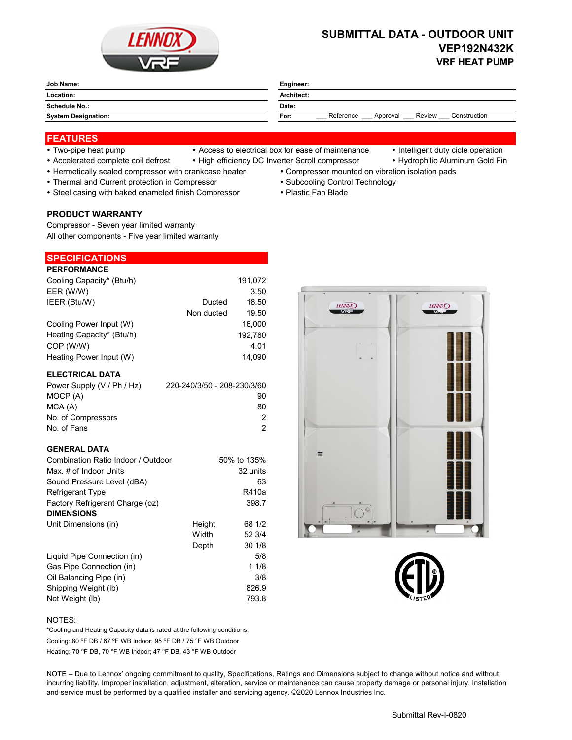

# **SUBMITTAL DATA - OUTDOOR UNIT VEP192N432K VRF HEAT PUMP**

| Job Name:                  | Engineer:                                               |  |  |
|----------------------------|---------------------------------------------------------|--|--|
| Location:<br>_____         | Architect:                                              |  |  |
| Schedule No.:              | Date:                                                   |  |  |
| <b>System Designation:</b> | Reference<br>Review<br>Construction<br>For:<br>Approval |  |  |
|                            |                                                         |  |  |

### **FEATURES**

- 
- Two-pipe heat pump Access to electrical box for ease of maintenance Intelligent duty cicle operation
	-
- Accelerated complete coil defrost High efficiency DC Inverter Scroll compressor Hydrophilic Aluminum Gold Fin
- Hermetically sealed compressor with crankcase heater Compressor mounted on vibration isolation pads
- Thermal and Current protection in Compressor **Subcooling Control Technology · Subcooling Control Technology**
- Steel casing with baked enameled finish Compressor Plastic Fan Blade

#### **PRODUCT WARRANTY**

Compressor - Seven year limited warranty All other components - Five year limited warranty

# **SPECIFICATIONS**

| <b>PERFORMANCE</b>        |            |         |
|---------------------------|------------|---------|
| Cooling Capacity* (Btu/h) |            | 191,072 |
| EER (W/W)                 |            | 3.50    |
| IEER (Btu/W)              | Ducted     | 18.50   |
|                           | Non ducted | 19.50   |
| Cooling Power Input (W)   |            | 16.000  |
| Heating Capacity* (Btu/h) |            | 192,780 |
| COP (W/W)                 |            | 4.01    |
| Heating Power Input (W)   |            | 14.090  |

#### **ELECTRICAL DATA**

| Power Supply (V / Ph / Hz) | 220-240/3/50 - 208-230/3/60 |
|----------------------------|-----------------------------|
| MOCP (A)                   | 90                          |
| MCA (A)                    | 80                          |
| No. of Compressors         | 2                           |
| No. of Fans                | 2                           |

### **GENERAL DATA**

| Combination Ratio Indoor / Outdoor |        | 50% to 135% |
|------------------------------------|--------|-------------|
| Max. # of Indoor Units             |        | 32 units    |
| Sound Pressure Level (dBA)         |        | 63          |
| Refrigerant Type                   |        | R410a       |
| Factory Refrigerant Charge (oz)    |        | 398.7       |
| <b>DIMENSIONS</b>                  |        |             |
| Unit Dimensions (in)               | Height | 68 1/2      |
|                                    | Width  | 52 3/4      |
|                                    | Depth  | 301/8       |
| Liquid Pipe Connection (in)        |        | 5/8         |
| Gas Pipe Connection (in)           |        | 11/8        |
| Oil Balancing Pipe (in)            |        | 3/8         |
| Shipping Weight (lb)               |        | 826.9       |
| Net Weight (lb)                    |        | 793.8       |





#### NOTES:

Cooling: 80 °F DB / 67 °F WB Indoor; 95 °F DB / 75 °F WB Outdoor Heating: 70 °F DB, 70 °F WB Indoor; 47 °F DB, 43 °F WB Outdoor \*Cooling and Heating Capacity data is rated at the following conditions:

NOTE – Due to Lennox' ongoing commitment to quality, Specifications, Ratings and Dimensions subject to change without notice and without incurring liability. Improper installation, adjustment, alteration, service or maintenance can cause property damage or personal injury. Installation and service must be performed by a qualified installer and servicing agency. ©2020 Lennox Industries Inc.